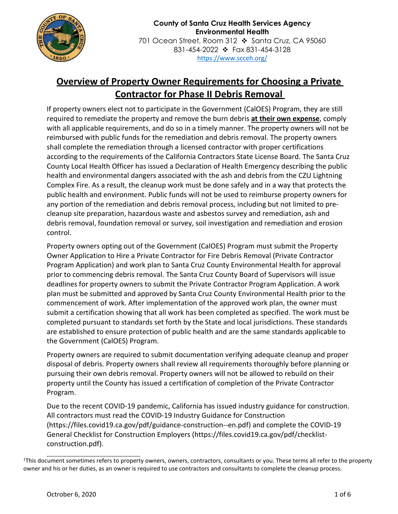

## **Overview of Property Owner Requirements for Choosing a Private Contractor for Phase II Debris Removal**

If property owners elect not to participate in the Government (CalOES) Program, they are still required to remediate the property and remove the burn debris **at their own expense**, comply with all applicable requirements, and do so in a timely manner. The property owners will not be reimbursed with public funds for the remediation and debris removal. The property owners shall complete the remediation through a licensed contractor with proper certifications according to the requirements of the California Contractors State License Board. The Santa Cruz County Local Health Officer has issued a Declaration of Health Emergency describing the public health and environmental dangers associated with the ash and debris from the CZU Lightning Complex Fire. As a result, the cleanup work must be done safely and in a way that protects the public health and environment. Public funds will not be used to reimburse property owners for any portion of the remediation and debris removal process, including but not limited to precleanup site preparation, hazardous waste and asbestos survey and remediation, ash and debris removal, foundation removal or survey, soil investigation and remediation and erosion control.

Property owners opting out of the Government (CalOES) Program must submit the Property Owner Application to Hire a Private Contractor for Fire Debris Removal (Private Contractor Program Application) and work plan to Santa Cruz County Environmental Health for approval prior to commencing debris removal. The Santa Cruz County Board of Supervisors will issue deadlines for property owners to submit the Private Contractor Program Application. A work plan must be submitted and approved by Santa Cruz County Environmental Health prior to the commencement of work. After implementation of the approved work plan, the owner must submit a certification showing that all work has been completed as specified. The work must be completed pursuant to standards set forth by the State and local jurisdictions. These standards are established to ensure protection of public health and are the same standards applicable to the Government (CalOES) Program.

Property owners are required to submit documentation verifying adequate cleanup and proper disposal of debris. Property owners shall review all requirements thoroughly before planning or pursuing their own debris removal. Property owners will not be allowed to rebuild on their property until the County has issued a certification of completion of the Private Contractor Program.

Due to the recent COVID-19 pandemic, California has issued industry guidance for construction. All contractors must read the COVID-19 Industry Guidance for Construction (https://files.covid19.ca.gov/pdf/guidance-construction--en.pdf) and complete the COVID-19 General Checklist for Construction Employers (https://files.covid19.ca.gov/pdf/checklistconstruction.pdf).

<sup>1</sup> This document sometimes refers to property owners, owners, contractors, consultants or you. These terms all refer to the property owner and his or her duties, as an owner is required to use contractors and consultants to complete the cleanup process.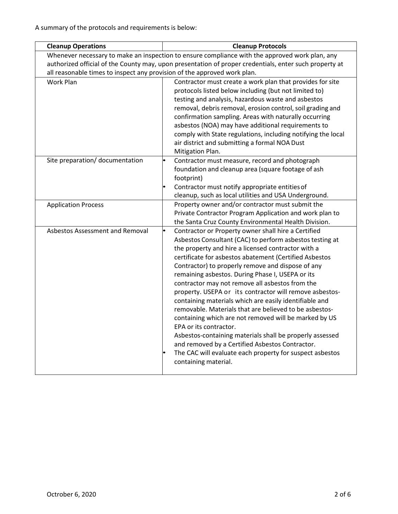| <b>Cleanup Operations</b>                                                                              | <b>Cleanup Protocols</b>                                                                                                                                                                                                                                                                                                                                                                                                                                                                                                                                                                                                                                                                                                                                                                                                                                         |  |  |
|--------------------------------------------------------------------------------------------------------|------------------------------------------------------------------------------------------------------------------------------------------------------------------------------------------------------------------------------------------------------------------------------------------------------------------------------------------------------------------------------------------------------------------------------------------------------------------------------------------------------------------------------------------------------------------------------------------------------------------------------------------------------------------------------------------------------------------------------------------------------------------------------------------------------------------------------------------------------------------|--|--|
|                                                                                                        | Whenever necessary to make an inspection to ensure compliance with the approved work plan, any                                                                                                                                                                                                                                                                                                                                                                                                                                                                                                                                                                                                                                                                                                                                                                   |  |  |
| authorized official of the County may, upon presentation of proper credentials, enter such property at |                                                                                                                                                                                                                                                                                                                                                                                                                                                                                                                                                                                                                                                                                                                                                                                                                                                                  |  |  |
|                                                                                                        | all reasonable times to inspect any provision of the approved work plan.                                                                                                                                                                                                                                                                                                                                                                                                                                                                                                                                                                                                                                                                                                                                                                                         |  |  |
| <b>Work Plan</b>                                                                                       | Contractor must create a work plan that provides for site<br>protocols listed below including (but not limited to)<br>testing and analysis, hazardous waste and asbestos<br>removal, debris removal, erosion control, soil grading and<br>confirmation sampling. Areas with naturally occurring<br>asbestos (NOA) may have additional requirements to<br>comply with State regulations, including notifying the local<br>air district and submitting a formal NOA Dust<br>Mitigation Plan.                                                                                                                                                                                                                                                                                                                                                                       |  |  |
| Site preparation/ documentation                                                                        | Contractor must measure, record and photograph<br>foundation and cleanup area (square footage of ash<br>footprint)<br>Contractor must notify appropriate entities of<br>cleanup, such as local utilities and USA Underground.                                                                                                                                                                                                                                                                                                                                                                                                                                                                                                                                                                                                                                    |  |  |
| <b>Application Process</b>                                                                             | Property owner and/or contractor must submit the<br>Private Contractor Program Application and work plan to<br>the Santa Cruz County Environmental Health Division.                                                                                                                                                                                                                                                                                                                                                                                                                                                                                                                                                                                                                                                                                              |  |  |
| Asbestos Assessment and Removal                                                                        | Contractor or Property owner shall hire a Certified<br>Asbestos Consultant (CAC) to perform asbestos testing at<br>the property and hire a licensed contractor with a<br>certificate for asbestos abatement (Certified Asbestos<br>Contractor) to properly remove and dispose of any<br>remaining asbestos. During Phase I, USEPA or its<br>contractor may not remove all asbestos from the<br>property. USEPA or its contractor will remove asbestos-<br>containing materials which are easily identifiable and<br>removable. Materials that are believed to be asbestos-<br>containing which are not removed will be marked by US<br>EPA or its contractor.<br>Asbestos-containing materials shall be properly assessed<br>and removed by a Certified Asbestos Contractor.<br>The CAC will evaluate each property for suspect asbestos<br>containing material. |  |  |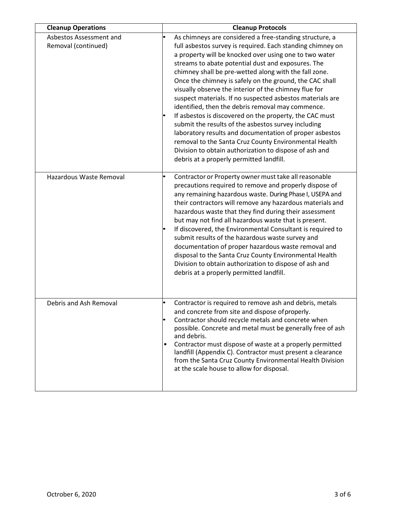| <b>Cleanup Operations</b>                      | <b>Cleanup Protocols</b>                                                                                                                                                                                                                                                                                                                                                                                                                                                                                                                                                                                                                                                                                                                                                                                                                                                         |
|------------------------------------------------|----------------------------------------------------------------------------------------------------------------------------------------------------------------------------------------------------------------------------------------------------------------------------------------------------------------------------------------------------------------------------------------------------------------------------------------------------------------------------------------------------------------------------------------------------------------------------------------------------------------------------------------------------------------------------------------------------------------------------------------------------------------------------------------------------------------------------------------------------------------------------------|
| Asbestos Assessment and<br>Removal (continued) | As chimneys are considered a free-standing structure, a<br>full asbestos survey is required. Each standing chimney on<br>a property will be knocked over using one to two water<br>streams to abate potential dust and exposures. The<br>chimney shall be pre-wetted along with the fall zone.<br>Once the chimney is safely on the ground, the CAC shall<br>visually observe the interior of the chimney flue for<br>suspect materials. If no suspected asbestos materials are<br>identified, then the debris removal may commence.<br>If asbestos is discovered on the property, the CAC must<br>submit the results of the asbestos survey including<br>laboratory results and documentation of proper asbestos<br>removal to the Santa Cruz County Environmental Health<br>Division to obtain authorization to dispose of ash and<br>debris at a properly permitted landfill. |
| Hazardous Waste Removal                        | Contractor or Property owner must take all reasonable<br>precautions required to remove and properly dispose of<br>any remaining hazardous waste. During Phase I, USEPA and<br>their contractors will remove any hazardous materials and<br>hazardous waste that they find during their assessment<br>but may not find all hazardous waste that is present.<br>If discovered, the Environmental Consultant is required to<br>submit results of the hazardous waste survey and<br>documentation of proper hazardous waste removal and<br>disposal to the Santa Cruz County Environmental Health<br>Division to obtain authorization to dispose of ash and<br>debris at a properly permitted landfill.                                                                                                                                                                             |
| Debris and Ash Removal                         | Contractor is required to remove ash and debris, metals<br>and concrete from site and dispose of properly.<br>Contractor should recycle metals and concrete when<br>possible. Concrete and metal must be generally free of ash<br>and debris.<br>Contractor must dispose of waste at a properly permitted<br>landfill (Appendix C). Contractor must present a clearance<br>from the Santa Cruz County Environmental Health Division<br>at the scale house to allow for disposal.                                                                                                                                                                                                                                                                                                                                                                                                 |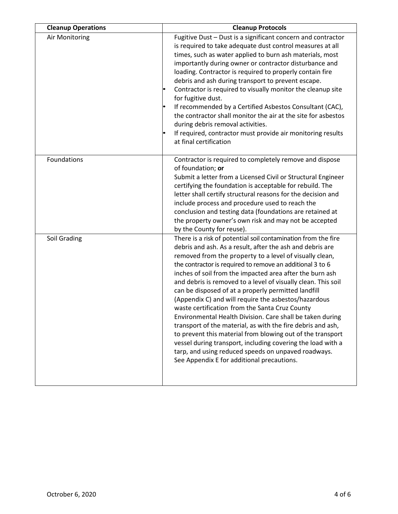| <b>Cleanup Operations</b> | <b>Cleanup Protocols</b>                                                                                                                                                                                                                                                                                                                                                                                                                                                                                                                                                                                                                                                                                                                                                                                                                                                                                       |
|---------------------------|----------------------------------------------------------------------------------------------------------------------------------------------------------------------------------------------------------------------------------------------------------------------------------------------------------------------------------------------------------------------------------------------------------------------------------------------------------------------------------------------------------------------------------------------------------------------------------------------------------------------------------------------------------------------------------------------------------------------------------------------------------------------------------------------------------------------------------------------------------------------------------------------------------------|
| Air Monitoring            | Fugitive Dust - Dust is a significant concern and contractor<br>is required to take adequate dust control measures at all<br>times, such as water applied to burn ash materials, most<br>importantly during owner or contractor disturbance and<br>loading. Contractor is required to properly contain fire<br>debris and ash during transport to prevent escape.<br>Contractor is required to visually monitor the cleanup site<br>for fugitive dust.<br>If recommended by a Certified Asbestos Consultant (CAC),<br>the contractor shall monitor the air at the site for asbestos<br>during debris removal activities.<br>If required, contractor must provide air monitoring results<br>at final certification                                                                                                                                                                                              |
| Foundations               | Contractor is required to completely remove and dispose<br>of foundation; or<br>Submit a letter from a Licensed Civil or Structural Engineer<br>certifying the foundation is acceptable for rebuild. The<br>letter shall certify structural reasons for the decision and<br>include process and procedure used to reach the<br>conclusion and testing data (foundations are retained at<br>the property owner's own risk and may not be accepted<br>by the County for reuse).                                                                                                                                                                                                                                                                                                                                                                                                                                  |
| Soil Grading              | There is a risk of potential soil contamination from the fire<br>debris and ash. As a result, after the ash and debris are<br>removed from the property to a level of visually clean,<br>the contractor is required to remove an additional 3 to 6<br>inches of soil from the impacted area after the burn ash<br>and debris is removed to a level of visually clean. This soil<br>can be disposed of at a properly permitted landfill<br>(Appendix C) and will require the asbestos/hazardous<br>waste certification from the Santa Cruz County<br>Environmental Health Division. Care shall be taken during<br>transport of the material, as with the fire debris and ash,<br>to prevent this material from blowing out of the transport<br>vessel during transport, including covering the load with a<br>tarp, and using reduced speeds on unpaved roadways.<br>See Appendix E for additional precautions. |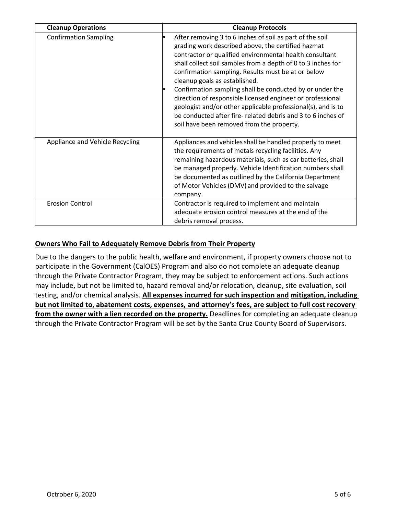| <b>Cleanup Operations</b>       | <b>Cleanup Protocols</b>                                                                                                                                                                                                                                                                                                                                                                                                                                                                                                                                                                                                               |
|---------------------------------|----------------------------------------------------------------------------------------------------------------------------------------------------------------------------------------------------------------------------------------------------------------------------------------------------------------------------------------------------------------------------------------------------------------------------------------------------------------------------------------------------------------------------------------------------------------------------------------------------------------------------------------|
| <b>Confirmation Sampling</b>    | After removing 3 to 6 inches of soil as part of the soil<br>grading work described above, the certified hazmat<br>contractor or qualified environmental health consultant<br>shall collect soil samples from a depth of 0 to 3 inches for<br>confirmation sampling. Results must be at or below<br>cleanup goals as established.<br>Confirmation sampling shall be conducted by or under the<br>direction of responsible licensed engineer or professional<br>geologist and/or other applicable professional(s), and is to<br>be conducted after fire-related debris and 3 to 6 inches of<br>soil have been removed from the property. |
| Appliance and Vehicle Recycling | Appliances and vehicles shall be handled properly to meet<br>the requirements of metals recycling facilities. Any<br>remaining hazardous materials, such as car batteries, shall<br>be managed properly. Vehicle Identification numbers shall<br>be documented as outlined by the California Department<br>of Motor Vehicles (DMV) and provided to the salvage<br>company.                                                                                                                                                                                                                                                             |
| <b>Erosion Control</b>          | Contractor is required to implement and maintain<br>adequate erosion control measures at the end of the<br>debris removal process.                                                                                                                                                                                                                                                                                                                                                                                                                                                                                                     |

## **Owners Who Fail to Adequately Remove Debris from Their Property**

Due to the dangers to the public health, welfare and environment, if property owners choose not to participate in the Government (CalOES) Program and also do not complete an adequate cleanup through the Private Contractor Program, they may be subject to enforcement actions. Such actions may include, but not be limited to, hazard removal and/or relocation, cleanup, site evaluation, soil testing, and/or chemical analysis. **All expenses incurred for such inspection and mitigation, including but not limited to, abatement costs, expenses, and attorney's fees, are subject to full cost recovery from the owner with a lien recorded on the property.** Deadlines for completing an adequate cleanup through the Private Contractor Program will be set by the Santa Cruz County Board of Supervisors.